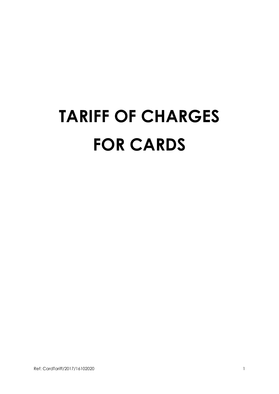## **TARIFF OF CHARGES FOR CARDS**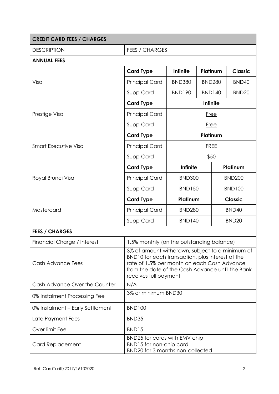| <b>CREDIT CARD FEES / CHARGES</b> |                                                                                                                                                                                                                                 |                 |               |                   |                   |  |
|-----------------------------------|---------------------------------------------------------------------------------------------------------------------------------------------------------------------------------------------------------------------------------|-----------------|---------------|-------------------|-------------------|--|
| <b>DESCRIPTION</b>                | <b>FEES / CHARGES</b>                                                                                                                                                                                                           |                 |               |                   |                   |  |
| <b>ANNUAL FEES</b>                |                                                                                                                                                                                                                                 |                 |               |                   |                   |  |
|                                   | <b>Card Type</b>                                                                                                                                                                                                                | <b>Infinite</b> | Platinum      |                   | <b>Classic</b>    |  |
| Visa                              | <b>Principal Card</b>                                                                                                                                                                                                           | <b>BND380</b>   | <b>BND280</b> |                   | BND40             |  |
|                                   | Supp Card                                                                                                                                                                                                                       | <b>BND190</b>   | <b>BND140</b> |                   | BND <sub>20</sub> |  |
|                                   | <b>Card Type</b>                                                                                                                                                                                                                | <b>Infinite</b> |               |                   |                   |  |
| Prestige Visa                     | <b>Principal Card</b>                                                                                                                                                                                                           | <b>Free</b>     |               |                   |                   |  |
|                                   | Supp Card                                                                                                                                                                                                                       | <b>Free</b>     |               |                   |                   |  |
| <b>Smart Executive Visa</b>       | <b>Card Type</b>                                                                                                                                                                                                                | Platinum        |               |                   |                   |  |
|                                   | <b>Principal Card</b>                                                                                                                                                                                                           | <b>FREE</b>     |               |                   |                   |  |
|                                   | Supp Card                                                                                                                                                                                                                       | \$50            |               |                   |                   |  |
|                                   | <b>Card Type</b>                                                                                                                                                                                                                | <b>Infinite</b> |               |                   | Platinum          |  |
| Royal Brunei Visa                 | <b>Principal Card</b>                                                                                                                                                                                                           | <b>BND300</b>   | <b>BND200</b> |                   |                   |  |
|                                   | Supp Card                                                                                                                                                                                                                       | <b>BND150</b>   |               | <b>BND100</b>     |                   |  |
| Mastercard                        | <b>Card Type</b>                                                                                                                                                                                                                |                 | Platinum      |                   | <b>Classic</b>    |  |
|                                   | <b>Principal Card</b>                                                                                                                                                                                                           | <b>BND280</b>   |               | BND40             |                   |  |
|                                   | Supp Card                                                                                                                                                                                                                       | <b>BND140</b>   |               | BND <sub>20</sub> |                   |  |
| <b>FEES / CHARGES</b>             |                                                                                                                                                                                                                                 |                 |               |                   |                   |  |
| Financial Charge / Interest       | 1.5% monthly (on the outstanding balance)                                                                                                                                                                                       |                 |               |                   |                   |  |
| Cash Advance Fees                 | 3% of amount withdrawn, subject to a minimum of<br>BND10 for each transaction, plus interest at the<br>rate of 1.5% per month on each Cash Advance<br>from the date of the Cash Advance until the Bank<br>receives full payment |                 |               |                   |                   |  |
| Cash Advance Over the Counter     | N/A                                                                                                                                                                                                                             |                 |               |                   |                   |  |
| 0% Instalment Processing Fee      | 3% or minimum BND30                                                                                                                                                                                                             |                 |               |                   |                   |  |
| 0% Instalment - Early Settlement  | <b>BND100</b>                                                                                                                                                                                                                   |                 |               |                   |                   |  |
| Late Payment Fees                 | BND35                                                                                                                                                                                                                           |                 |               |                   |                   |  |
| Over-limit Fee                    | BND15                                                                                                                                                                                                                           |                 |               |                   |                   |  |
| Card Replacement                  | BND25 for cards with EMV chip<br>BND15 for non-chip card<br>BND20 for 3 months non-collected                                                                                                                                    |                 |               |                   |                   |  |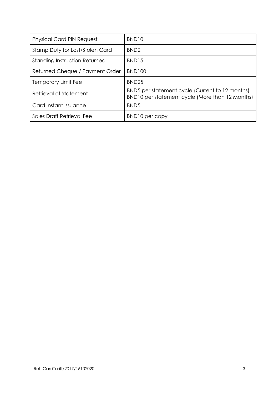| <b>Physical Card PIN Request</b> | BND <sub>10</sub>                                                                                  |
|----------------------------------|----------------------------------------------------------------------------------------------------|
| Stamp Duty for Lost/Stolen Card  | BND <sub>2</sub>                                                                                   |
| Standing Instruction Returned    | BND <sub>15</sub>                                                                                  |
| Returned Cheque / Payment Order  | <b>BND100</b>                                                                                      |
| Temporary Limit Fee              | BND <sub>25</sub>                                                                                  |
| Retrieval of Statement           | BND5 per statement cycle (Current to 12 months)<br>BND10 per statement cycle (More than 12 Months) |
| Card Instant Issuance            | BND <sub>5</sub>                                                                                   |
| Sales Draft Retrieval Fee        | BND10 per copy                                                                                     |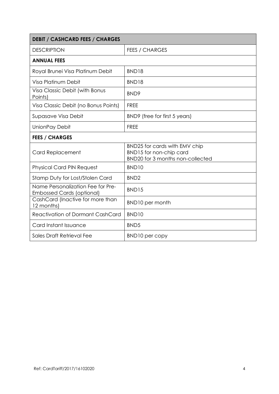| <b>DEBIT / CASHCARD FEES / CHARGES</b>                                |                                                                                                     |  |  |
|-----------------------------------------------------------------------|-----------------------------------------------------------------------------------------------------|--|--|
| <b>DESCRIPTION</b>                                                    | <b>FEES / CHARGES</b>                                                                               |  |  |
| <b>ANNUAL FEES</b>                                                    |                                                                                                     |  |  |
| Royal Brunei Visa Platinum Debit                                      | BND18                                                                                               |  |  |
| Visa Platinum Debit                                                   | BND18                                                                                               |  |  |
| Visa Classic Debit (with Bonus<br>Points)                             | BND <sub>9</sub>                                                                                    |  |  |
| Visa Classic Debit (no Bonus Points)                                  | <b>FREE</b>                                                                                         |  |  |
| Supasave Visa Debit                                                   | BND9 (free for first 5 years)                                                                       |  |  |
| UnionPay Debit                                                        | <b>FREE</b>                                                                                         |  |  |
| <b>FEES / CHARGES</b>                                                 |                                                                                                     |  |  |
| <b>Card Replacement</b>                                               | BND25 for cards with EMV chip<br>BND15 for non-chip card<br><b>BND20 for 3 months non-collected</b> |  |  |
| <b>Physical Card PIN Request</b>                                      | BND <sub>10</sub>                                                                                   |  |  |
| Stamp Duty for Lost/Stolen Card                                       | BND <sub>2</sub>                                                                                    |  |  |
| Name Personalization Fee for Pre-<br><b>Embossed Cards (optional)</b> | BND15                                                                                               |  |  |
| CashCard (Inactive for more than<br>12 months)                        | <b>BND10</b> per month                                                                              |  |  |
| <b>Reactivation of Dormant CashCard</b>                               | BND <sub>10</sub>                                                                                   |  |  |
| Card Instant Issuance                                                 | BND <sub>5</sub>                                                                                    |  |  |
| Sales Draft Retrieval Fee                                             | BND10 per copy                                                                                      |  |  |